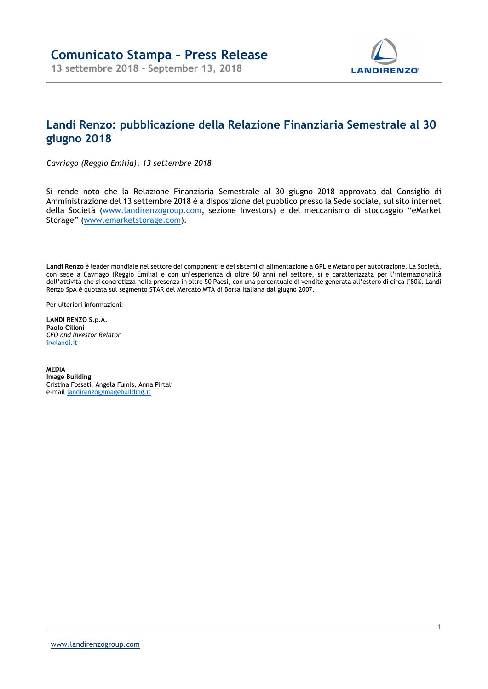

## Landi Renzo: pubblicazione della Relazione Finanziaria Semestrale al 30 giugno 2018

Cavriago (Reggio Emilia), 13 settembre 2018

Si rende noto che la Relazione Finanziaria Semestrale al 30 giugno 2018 approvata dal Consiglio di Amministrazione del 13 settembre 2018 è a disposizione del pubblico presso la Sede sociale, sul sito internet della Società (www.landirenzogroup.com, sezione Investors) e del meccanismo di stoccaggio "eMarket Storage" (www.emarketstorage.com).

Landi Renzo è leader mondiale nel settore dei componenti e dei sistemi di alimentazione a GPL e Metano per autotrazione. La Società, con sede a Cavriago (Reggio Emilia) e con un'esperienza di oltre 60 anni nel settore, si è caratterizzata per l'internazionalità dell'attività che si concretizza nella presenza in oltre 50 Paesi, con una percentuale di vendite generata all'estero di circa l'80%. Landi Renzo SpA è quotata sul segmento STAR del Mercato MTA di Borsa Italiana dal giugno 2007.

Per ulteriori informazioni:

LANDI RENZO S.p.A. Paolo Cilloni CFO and Investor Relator ir@landi.it

MEDIA Image Building Cristina Fossati, Angela Fumis, Anna Pirtali e-mail landirenzo@imagebuilding.it